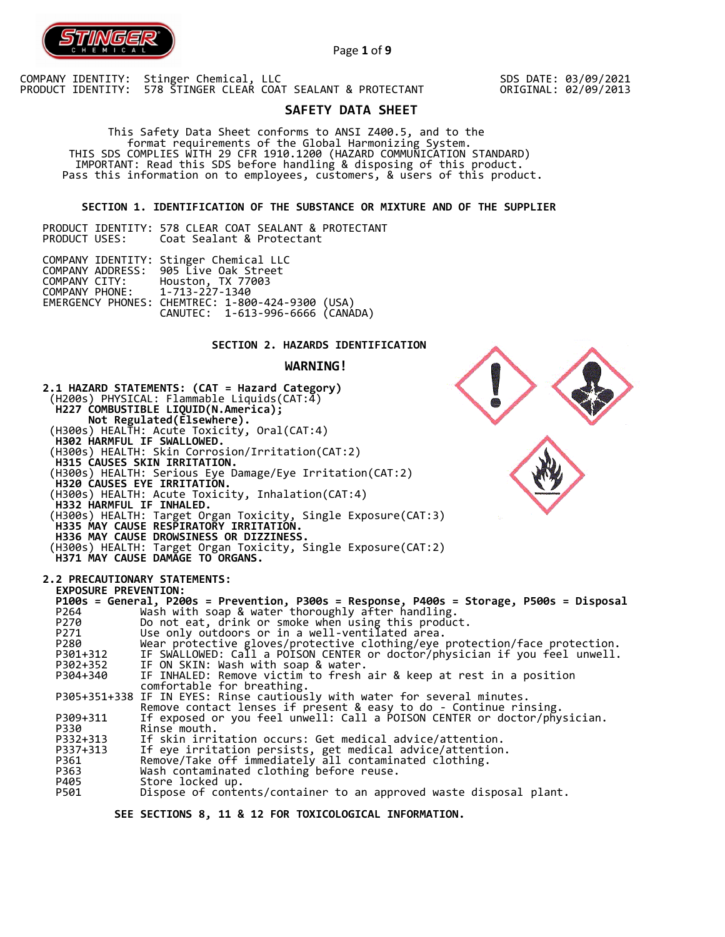

Page **1** of **9**

COMPANY IDENTITY: Stinger Chemical, LLC PRODUCT IDENTITY: 578 STINGER CLEAR COAT SEALANT & PROTECTANT

SDS DATE: 03/09/2021 ORIGINAL: 02/09/2013

# **SAFETY DATA SHEET**

 This Safety Data Sheet conforms to ANSI Z400.5, and to the format requirements of the Global Harmonizing System. THIS SDS COMPLIES WITH 29 CFR 1910.1200 (HAZARD COMMUNICATION STANDARD) IMPORTANT: Read this SDS before handling & disposing of this product. Pass this information on to employees, customers, & users of this product.

**SECTION 1. IDENTIFICATION OF THE SUBSTANCE OR MIXTURE AND OF THE SUPPLIER** 

PRODUCT IDENTITY: 578 CLEAR COAT SEALANT & PROTECTANT<br>PRODUCT USES: Coat Sealant & Protectant Coat Sealant & Protectant

|                                                | COMPANY IDENTITY: Stinger Chemical LLC<br>COMPANY ADDRESS: 905 Live Oak Street       |  |
|------------------------------------------------|--------------------------------------------------------------------------------------|--|
| COMPANY CITY:<br>COMPANY PHONE: 1-713-227-1340 | Houston, TX 77003                                                                    |  |
|                                                | EMERGENCY PHONES: CHEMTREC: 1-800-424-9300 (USA)<br>CANUTEC: 1-613-996-6666 (CANÁDA) |  |

## **SECTION 2. HAZARDS IDENTIFICATION**

### **WARNING!**



 **SEE SECTIONS 8, 11 & 12 FOR TOXICOLOGICAL INFORMATION.**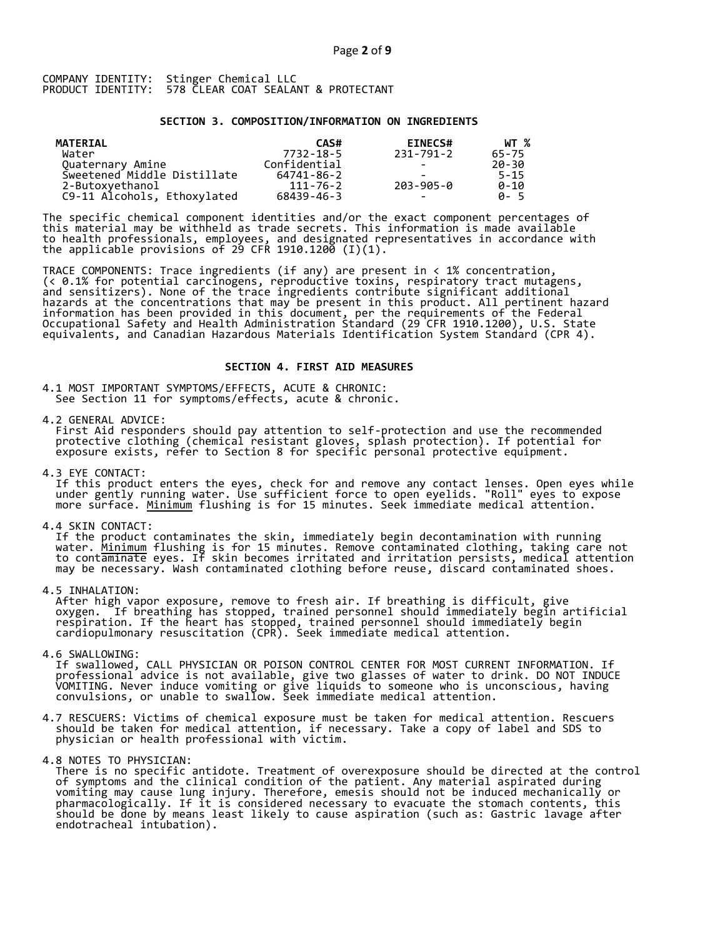### **SECTION 3. COMPOSITION/INFORMATION ON INGREDIENTS**

| MATERIAL                    | CAS#         | <b>EINECS#</b>           | WT %     |
|-----------------------------|--------------|--------------------------|----------|
| Water                       | 7732-18-5    | 231-791-2                | 65-75    |
| Quaternary Amine            | Confidential | -                        | 20-30    |
| Sweetened Middle Distillate | 64741-86-2   |                          | $5 - 15$ |
| 2-Butoxyethanol             | 111-76-2     | 203-905-0                | $0 - 10$ |
| C9-11 Alcohols, Ethoxylated | 68439-46-3   | $\overline{\phantom{0}}$ | A-5      |

The specific chemical component identities and/or the exact component percentages of this material may be withheld as trade secrets. This information is made available to health professionals, employees, and designated representatives in accordance with the applicable provisions of 29 CFR 1910.1200̄ (I)(1).  $\overline{\phantom{a}}$ 

TRACE COMPONENTS: Trace ingredients (if any) are present in < 1% concentration, (< 0.1% for potential carcinogens, reproductive toxins, respiratory tract mutagens, and sensitizers). None of the trace ingredients contribute significant additional hazards at the concentrations that may be present in this product. All pertinent hazard information has been provided in this document, per the requirements of the Federal Occupational Safety and Health Administration Standard (29 CFR 1910.1200), U.S. State equivalents, and Canadian Hazardous Materials Identification System Standard (CPR 4).

### **SECTION 4. FIRST AID MEASURES**

4.1 MOST IMPORTANT SYMPTOMS/EFFECTS, ACUTE & CHRONIC: See Section 11 for symptoms/effects, acute & chronic.

4.2 GENERAL ADVICE:

 First Aid responders should pay attention to self-protection and use the recommended protective clothing (chemical resistant gloves, splash protection). If potential for exposure exists, refer to Section 8 for specific personal protective equipment.

4.3 EYE CONTACT:

 If this product enters the eyes, check for and remove any contact lenses. Open eyes while under gently running water. Use sufficient force to open eyelids. "Roll" eyes to expose more surface. <u>Minimum</u> flushing is for 15 minutes. Seek immediate medical attention.

4.4 SKIN CONTACT:

 If the product contaminates the skin, immediately begin decontamination with running water. <u>Minimum</u> flushing is for 15 minutes. Remove contaminated clothing, taking care not to contaminate eyes. If skin becomes irritated and irritation persists, medical attention may be necessary. Wash contaminated clothing before reuse, discard contaminated shoes.

4.5 INHALATION:

 After high vapor exposure, remove to fresh air. If breathing is difficult, give oxygen. If breathing has stopped, trained personnel should immediately begin artificial respiration. If the heart has stopped, trained personnel should immediately begin cardiopulmonary resuscitation (CPR). Seek immediate medical attention.

4.6 SWALLOWING:

 If swallowed, CALL PHYSICIAN OR POISON CONTROL CENTER FOR MOST CURRENT INFORMATION. If professional advice is not available, give two glasses of water to drink. DO NOT INDUCE VOMITING. Never induce vomiting or give liquids to someone who is unconscious, having convulsions, or unable to swallow. Seek immediate medical attention.

- 4.7 RESCUERS: Victims of chemical exposure must be taken for medical attention. Rescuers should be taken for medical attention, if necessary. Take a copy of label and SDS to physician or health professional with victim.
- 4.8 NOTES TO PHYSICIAN:
- There is no specific antidote. Treatment of overexposure should be directed at the control of symptoms and the clinical condition of the patient. Any material aspirated during vomiting may cause lung injury. Therefore, emesis should not be induced mechanically or pharmacologically. If it is considered necessary to evacuate the stomach contents, this should be done by means least likely to cause aspiration (such as: Gastric lavage after endotracheal intubation).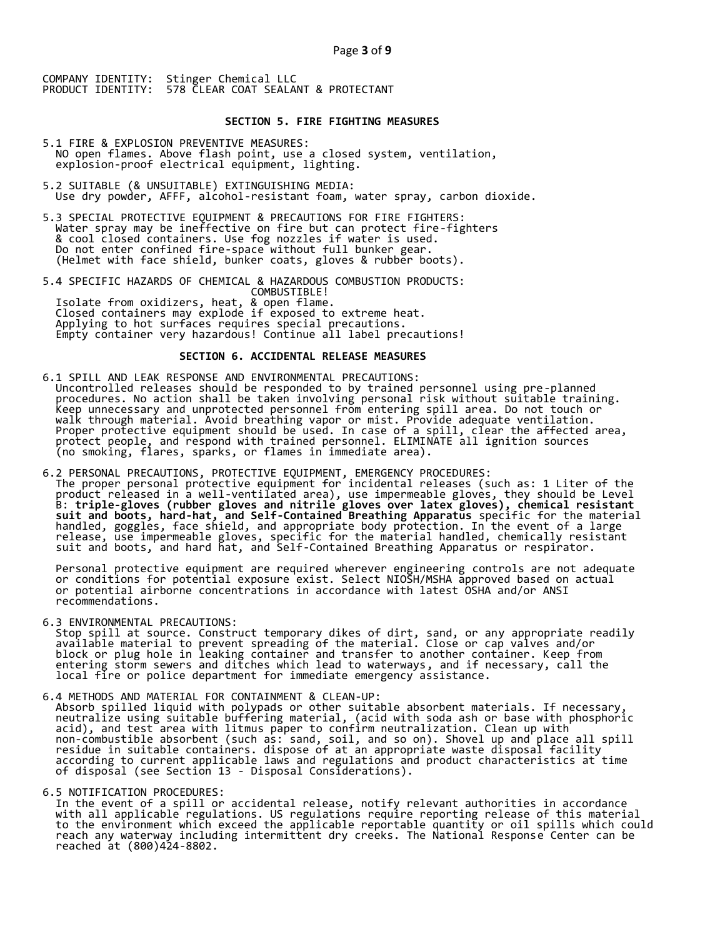### **SECTION 5. FIRE FIGHTING MEASURES**

- 5.1 FIRE & EXPLOSION PREVENTIVE MEASURES: NO open flames. Above flash point, use a closed system, ventilation, explosion-proof electrical equipment, lighting.
- 5.2 SUITABLE (& UNSUITABLE) EXTINGUISHING MEDIA: Use dry powder, AFFF, alcohol-resistant foam, water spray, carbon dioxide.
- 5.3 SPECIAL PROTECTIVE EQUIPMENT & PRECAUTIONS FOR FIRE FIGHTERS: Water spray may be ineffective on fire but can protect fire-fighters & cool closed containers. Use fog nozzles if water is used. Do not enter confined fire-space without full bunker gear. (Helmet with face shield, bunker coats, gloves & rubber boots).
- 5.4 SPECIFIC HAZARDS OF CHEMICAL & HAZARDOUS COMBUSTION PRODUCTS: COMBUSTIBLE! Isolate from oxidizers, heat, & open flame. Closed containers may explode if exposed to extreme heat. Applying to hot surfaces requires special precautions. Empty container very hazardous! Continue all label precautions!

## **SECTION 6. ACCIDENTAL RELEASE MEASURES**

- 6.1 SPILL AND LEAK RESPONSE AND ENVIRONMENTAL PRECAUTIONS: Uncontrolled releases should be responded to by trained personnel using pre-planned procedures. No action shall be taken involving personal risk without suitable training. Keep unnecessary and unprotected personnel from entering spill area. Do not touch or walk through material. Avoid breathing vapor or mist. Provide adequate ventilation. Proper protective equipment should be used. In case of a spill, clear the affected area, protect people, and respond with trained personnel. ELIMINATE all ignition sources (no smoking, flares, sparks, or flames in immediate area).
- 6.2 PERSONAL PRECAUTIONS, PROTECTIVE EQUIPMENT, EMERGENCY PROCEDURES: The proper personal protective equipment for incidental releases (such as: 1 Liter of the product released in a well-ventilated area), use impermeable gloves, they should be Level B: **triple-gloves (rubber gloves and nitrile gloves over latex gloves), chemical resistant suit and boots, hard-hat, and Self-Contained Breathing Apparatus** specific for the material handled, goggles, face shield, and appropriate body protection. In the event of a large release, use impermeable gloves, specific for the material handled, chemically resistant suit and boots, and hard hat, and Self-Contained Breathing Apparatus or respirator.

 Personal protective equipment are required wherever engineering controls are not adequate or conditions for potential exposure exist. Select NIOSH/MSHA approved based on actual or potential airborne concentrations in accordance with latest OSHA and/or ANSI recommendations.

6.3 ENVIRONMENTAL PRECAUTIONS:

 Stop spill at source. Construct temporary dikes of dirt, sand, or any appropriate readily available material to prevent spreading of the material. Close or cap valves and/or block or plug hole in leaking container and transfer to another container. Keep from entering storm sewers and ditches which lead to waterways, and if necessary, call the local fire or police department for immediate emergency assistance.

6.4 METHODS AND MATERIAL FOR CONTAINMENT & CLEAN-UP:

 Absorb spilled liquid with polypads or other suitable absorbent materials. If necessary, neutralize using suitable buffering material, (acid with soda ash or base with phosphoric acid), and test area with litmus paper to confirm neutralization. Clean up with non-combustible absorbent (such as: sand, soil, and so on). Shovel up and place all spill residue in suitable containers. dispose of at an appropriate waste disposal facility according to current applicable laws and regulations and product characteristics at time of disposal (see Section 13 - Disposal Considerations).

### 6.5 NOTIFICATION PROCEDURES:

 In the event of a spill or accidental release, notify relevant authorities in accordance with all applicable regulations. US regulations require reporting release of this material to the environment which exceed the applicable reportable quantity or oil spills which could reach any waterway including intermittent dry creeks. The National Response Center can be reached at (800)424-8802.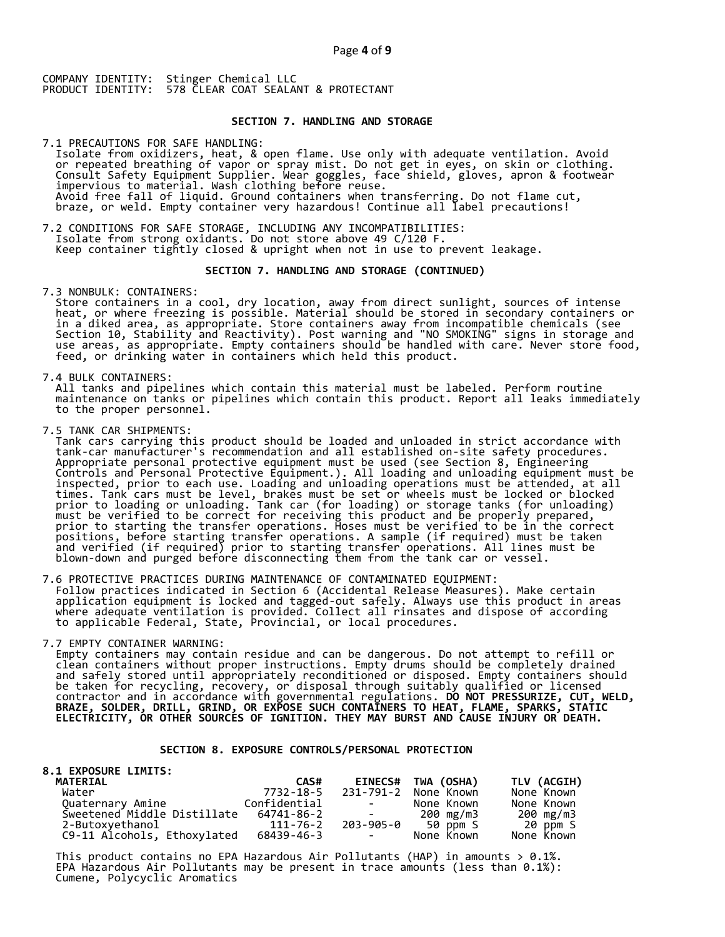### **SECTION 7. HANDLING AND STORAGE**

7.1 PRECAUTIONS FOR SAFE HANDLING: Isolate from oxidizers, heat, & open flame. Use only with adequate ventilation. Avoid or repeated breathing of vapor or spray mist. Do not get in eyes, on skin or clothing. Consult Safety Equipment Supplier. Wear goggles, face shield, gloves, apron & footwear impervious to material. Wash clothing before reuse. Avoid free fall of liquid. Ground containers when transferring. Do not flame cut, braze, or weld. Empty container very hazardous! Continue all label precautions!

7.2 CONDITIONS FOR SAFE STORAGE, INCLUDING ANY INCOMPATIBILITIES: Isolate from strong oxidants. Do not store above 49 C/120 F. Keep container tightly closed & upright when not in use to prevent leakage.

### **SECTION 7. HANDLING AND STORAGE (CONTINUED)**

7.3 NONBULK: CONTAINERS:

 Store containers in a cool, dry location, away from direct sunlight, sources of intense heat, or where freezing is possible. Material should be stored in secondary containers or in a diked area, as appropriate. Store containers away from incompatible chemicals (see Section 10, Stability and Reactivity). Post warning and "NO SMOKING" signs in storage and use areas, as appropriate. Empty containers should be handled with care. Never store food, feed, or drinking water in containers which held this product.

7.4 BULK CONTAINERS:

 All tanks and pipelines which contain this material must be labeled. Perform routine maintenance on tanks or pipelines which contain this product. Report all leaks immediately to the proper personnel.

7.5 TANK CAR SHIPMENTS:

 Tank cars carrying this product should be loaded and unloaded in strict accordance with tank-car manufacturer's recommendation and all established on-site safety procedures. Appropriate personal protective equipment must be used (see Section 8, Engineering Controls and Personal Protective Equipment.). All loading and unloading equipment must be inspected, prior to each use. Loading and unloading operations must be attended, at all times. Tank cars must be level, brakes must be set or wheels must be locked or blocked prior to loading or unloading. Tank car (for loading) or storage tanks (for unloading) must be verified to be correct for receiving this product and be properly prepared, prior to starting the transfer operations. Hoses must be verified to be in the correct positions, before starting transfer operations. A sample (if required) must be taken and verified (if required) prior to starting transfer operations. All lines must be blown-down and purged before disconnecting them from the tank car or vessel.

7.6 PROTECTIVE PRACTICES DURING MAINTENANCE OF CONTAMINATED EQUIPMENT: Follow practices indicated in Section 6 (Accidental Release Measures). Make certain application equipment is locked and tagged-out safely. Always use this product in areas where adequate ventilation is provided. Collect all rinsates and dispose of according to applicable Federal, State, Provincial, or local procedures.

7.7 EMPTY CONTAINER WARNING:

 Empty containers may contain residue and can be dangerous. Do not attempt to refill or clean containers without proper instructions. Empty drums should be completely drained and safely stored until appropriately reconditioned or disposed. Empty containers should be taken for recycling, recovery, or disposal through suitably qualified or licensed contractor and in accordance with governmental regulations. **DO NOT PRESSURIZE, CUT, WELD, BRAZE, SOLDER, DRILL, GRIND, OR EXPOSE SUCH CONTAINERS TO HEAT, FLAME, SPARKS, STATIC ELECTRICITY, OR OTHER SOURCES OF IGNITION. THEY MAY BURST AND CAUSE INJURY OR DEATH.**

## **SECTION 8. EXPOSURE CONTROLS/PERSONAL PROTECTION**

| <b>8.1 EXPOSURE LIMITS:</b> |              |                          |                    |             |
|-----------------------------|--------------|--------------------------|--------------------|-------------|
| <b>MATERIAL</b>             | CAS#         |                          | EINECS# TWA (OSHA) | TLV (ACGIH) |
| Water                       | 7732-18-5    | 231-791-2                | None Known         | None Known  |
| Quaternary Amine            | Confidential | and the state of the     | None Known         | None Known  |
| Sweetened Middle Distillate | 64741-86-2   | and the state of the     | 200 mg/m3          | 200 mg/m3   |
| 2-Butoxyethanol             | 111-76-2     |                          | 203-905-0 50 ppm S | 20 ppm S    |
| C9-11 Alcohols, Ethoxylated | 68439-46-3   | <b>Contract Contract</b> | None Known         | None Known  |

This product contains no EPA Hazardous Air Pollutants (HAP) in amounts  $> 0.1\%$ . EPA Hazardous Air Pollutants may be present in trace amounts (less than 0.1%): Cumene, Polycyclic Aromatics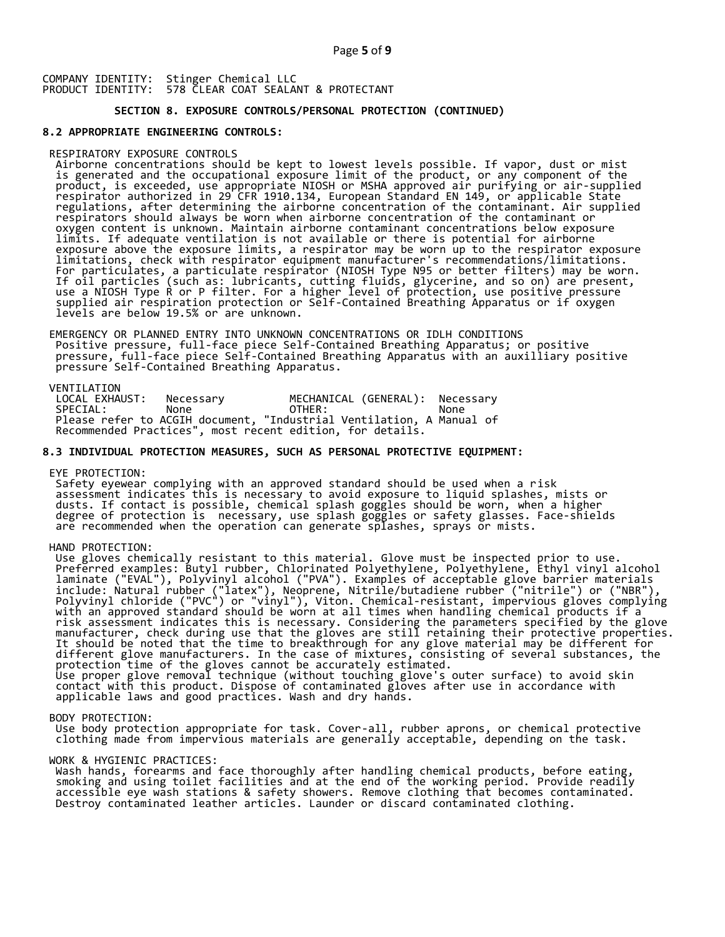## **SECTION 8. EXPOSURE CONTROLS/PERSONAL PROTECTION (CONTINUED)**

### **8.2 APPROPRIATE ENGINEERING CONTROLS:**

#### RESPIRATORY EXPOSURE CONTROLS

 Airborne concentrations should be kept to lowest levels possible. If vapor, dust or mist is generated and the occupational exposure limit of the product, or any component of the product, is exceeded, use appropriate NIOSH or MSHA approved air purifying or air-supplied respirator authorized in 29 CFR 1910.134, European Standard EN 149, or applicable State regulations, after determining the airborne concentration of the contaminant. Air supplied respirators should always be worn when airborne concentration of the contaminant or oxygen content is unknown. Maintain airborne contaminant concentrations below exposure limits. If adequate ventilation is not available or there is potential for airborne exposure above the exposure limits, a respirator may be worn up to the respirator exposure limitations, check with respirator equipment manufacturer's recommendations/limitations. For particulates, a particulate respirator (NIOSH Type N95 or better filters) may be worn. If oil particles (such as: lubricants, cutting fluids, glycerine, and so on) are present, use a NIOSH Type R or P filter. For a higher level of protection, use positive pressure supplied air respiration protection or Self-Contained Breathing Apparatus or if oxygen levels are below 19.5% or are unknown.

 EMERGENCY OR PLANNED ENTRY INTO UNKNOWN CONCENTRATIONS OR IDLH CONDITIONS Positive pressure, full-face piece Self-Contained Breathing Apparatus; or positive pressure, full-face piece Self-Contained Breathing Apparatus with an auxilliary positive pressure Self-Contained Breathing Apparatus.

VENTILATION<br>LOCAL EXHAUST: LOCAL EXHAUST: Necessary MECHANICAL (GENERAL): Necessary SPECIAL: None OTHER: None Please refer to ACGIH document, "Industrial Ventilation, A Manual of Recommended Practices", most recent edition, for details.

### **8.3 INDIVIDUAL PROTECTION MEASURES, SUCH AS PERSONAL PROTECTIVE EQUIPMENT:**

EYE PROTECTION:

 Safety eyewear complying with an approved standard should be used when a risk assessment indicates this is necessary to avoid exposure to liquid splashes, mists or dusts. If contact is possible, chemical splash goggles should be worn, when a higher degree of protection is necessary, use splash goggles or safety glasses. Face-shields are recommended when the operation can generate splashes, sprays or mists.

HAND PROTECTION:

 Use gloves chemically resistant to this material. Glove must be inspected prior to use. Preferred examples: Butyl rubber, Chlorinated Polyethylene, Polyethylene, Ethyl vinyl alcohol laminate ("EVAL"), Polyvinyl alcohol ("PVA"). Examples of acceptable glove barrier materials include: Natural rubber ("latex"), Neoprene, Nitrile/butadiene rubber ("nitrile") or ("NBR"), Polyvinyl chloride ("PVC") or "vinyl"), Viton. Chemical-resistant, impervious gloves complying with an approved standard should be worn at all times when handling chemical products if a risk assessment indicates this is necessary. Considering the parameters specified by the glove manufacturer, check during use that the gloves are still retaining their protective properties. It should be noted that the time to breakthrough for any glove material may be different for different glove manufacturers. In the case of mixtures, consisting of several substances, the protection time of the gloves cannot be accurately estimated. Use proper glove removal technique (without touching glove's outer surface) to avoid skin contact with this product. Dispose of contaminated gloves after use in accordance with applicable laws and good practices. Wash and dry hands.

#### BODY PROTECTION:

 Use body protection appropriate for task. Cover-all, rubber aprons, or chemical protective clothing made from impervious materials are generally acceptable, depending on the task.

### WORK & HYGIENIC PRACTICES:

 Wash hands, forearms and face thoroughly after handling chemical products, before eating, smoking and using toilet facilities and at the end of the working period. Provide readily accessible eye wash stations & safety showers. Remove clothing that becomes contaminated. Destroy contaminated leather articles. Launder or discard contaminated clothing.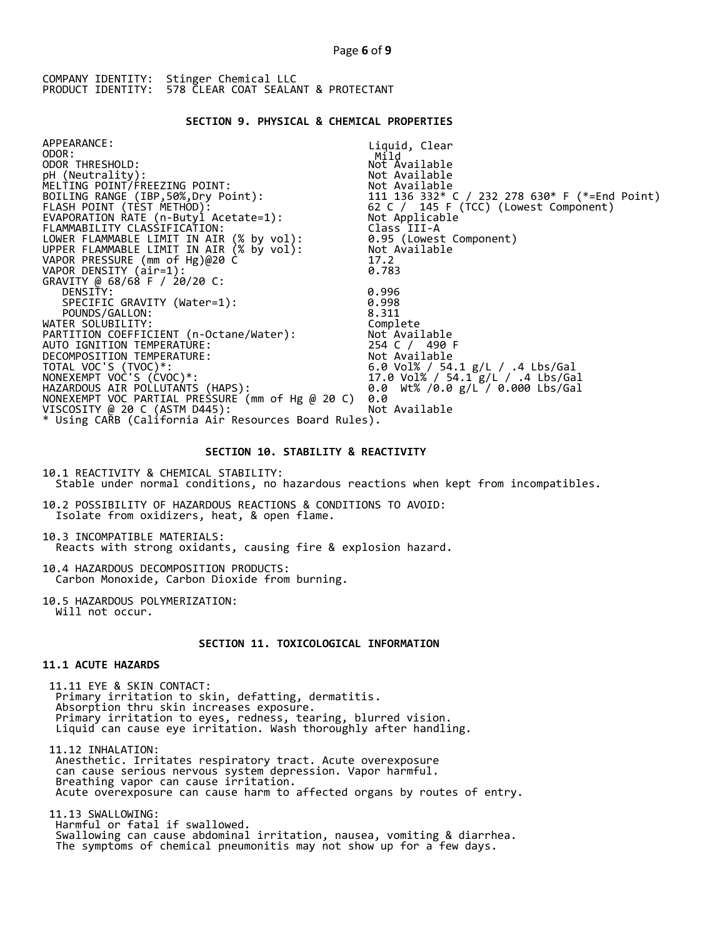## **SECTION 9. PHYSICAL & CHEMICAL PROPERTIES**

| APPEARANCE:<br>ODOR:<br>ODOR THRESHOLD:<br>pH (Neutrality):<br>MELTING POINT/FREEZING POINT:                               Not Available<br>BOILING RANGE (IBP,50%,Dry Point):                                 111 136 332* C / 232 278 630* F (*=End Point)<br>FLASH POINT (TEST METHOD):<br>FLAMMABILITY CLASSIFICATION:<br>LOWER FLAMMABLE LIMIT IN AIR (% by vol):<br>UPPER FLAMMABLE LIMIT IN AIR (% by vol):<br>VAPOR PRESSURE (mm of Hg)@20 C<br>VAPOR DENSITY (air=1):<br>GRAVITY @ 68/68 F / 20/20 C: | Liquid, Clear<br>Mild<br>Not Available<br>Not Available<br>Class III-A<br>0.95 (Lowest Component)<br>Not Available<br>17.2<br>0.783 |
|----------------------------------------------------------------------------------------------------------------------------------------------------------------------------------------------------------------------------------------------------------------------------------------------------------------------------------------------------------------------------------------------------------------------------------------------------------------------------------------------------------------|-------------------------------------------------------------------------------------------------------------------------------------|
| DENSITY:                                                                                                                                                                                                                                                                                                                                                                                                                                                                                                       | 0.996                                                                                                                               |
| SPECIFIC GRAVITY (Water=1):                                                                                                                                                                                                                                                                                                                                                                                                                                                                                    | 0.998<br>8.311                                                                                                                      |
| POUNDS/GALLON:<br>WATER SOLUBILITY:                                                                                                                                                                                                                                                                                                                                                                                                                                                                            | Complete                                                                                                                            |
|                                                                                                                                                                                                                                                                                                                                                                                                                                                                                                                |                                                                                                                                     |
| AUTO IGNITION TEMPERATURE:                                                                                                                                                                                                                                                                                                                                                                                                                                                                                     | 254 C / 490 F                                                                                                                       |
| DECOMPOSITION TEMPERATURE:                                                                                                                                                                                                                                                                                                                                                                                                                                                                                     | Not Available                                                                                                                       |
| TOTAL VOC'S (TVOC)*:                                                                                                                                                                                                                                                                                                                                                                                                                                                                                           | 6.0 Vol% / 54.1 $g/L$ / .4 Lbs/Gal                                                                                                  |
| NONEXEMPT VOC'S (CVOC)*:                                                                                                                                                                                                                                                                                                                                                                                                                                                                                       | 17.0 Vol% / 54.1 g/L / .4 Lbs/Gal                                                                                                   |
| HAZARDOUS AIR POLLUTAŃTS (HAPS):                                                                                                                                                                                                                                                                                                                                                                                                                                                                               | 0.0 Wt% /0.0 g/L / 0.000 Lbs/Gal                                                                                                    |
| NONEXEMPT VOC PARTIAL PRESSURE (mm of Hg @ 20 C)                                                                                                                                                                                                                                                                                                                                                                                                                                                               | 0.0                                                                                                                                 |
| VISCOSITY @ 20 C (ASTM D445):                                                                                                                                                                                                                                                                                                                                                                                                                                                                                  | Not Available                                                                                                                       |
| * Using CARB (California Air Resources Board Rules).                                                                                                                                                                                                                                                                                                                                                                                                                                                           |                                                                                                                                     |

### **SECTION 10. STABILITY & REACTIVITY**

10.1 REACTIVITY & CHEMICAL STABILITY: Stable under normal conditions, no hazardous reactions when kept from incompatibles.

10.2 POSSIBILITY OF HAZARDOUS REACTIONS & CONDITIONS TO AVOID: Isolate from oxidizers, heat, & open flame.

10.3 INCOMPATIBLE MATERIALS: Reacts with strong oxidants, causing fire & explosion hazard.

10.4 HAZARDOUS DECOMPOSITION PRODUCTS: Carbon Monoxide, Carbon Dioxide from burning.

10.5 HAZARDOUS POLYMERIZATION: Will not occur.

## **SECTION 11. TOXICOLOGICAL INFORMATION**

## **11.1 ACUTE HAZARDS**

 11.11 EYE & SKIN CONTACT: Primary irritation to skin, defatting, dermatitis. Absorption thru skin increases exposure. Primary irritation to eyes, redness, tearing, blurred vision. Liquid can cause eye irritation. Wash thoroughly after handling.

 11.12 INHALATION: Anesthetic. Irritates respiratory tract. Acute overexposure can cause serious nervous system depression. Vapor harmful. Breathing vapor can cause irritation. Acute overexposure can cause harm to affected organs by routes of entry.

 11.13 SWALLOWING: Harmful or fatal if swallowed. Swallowing can cause abdominal irritation, nausea, vomiting & diarrhea. The symptoms of chemical pneumonitis may not show up for a few days.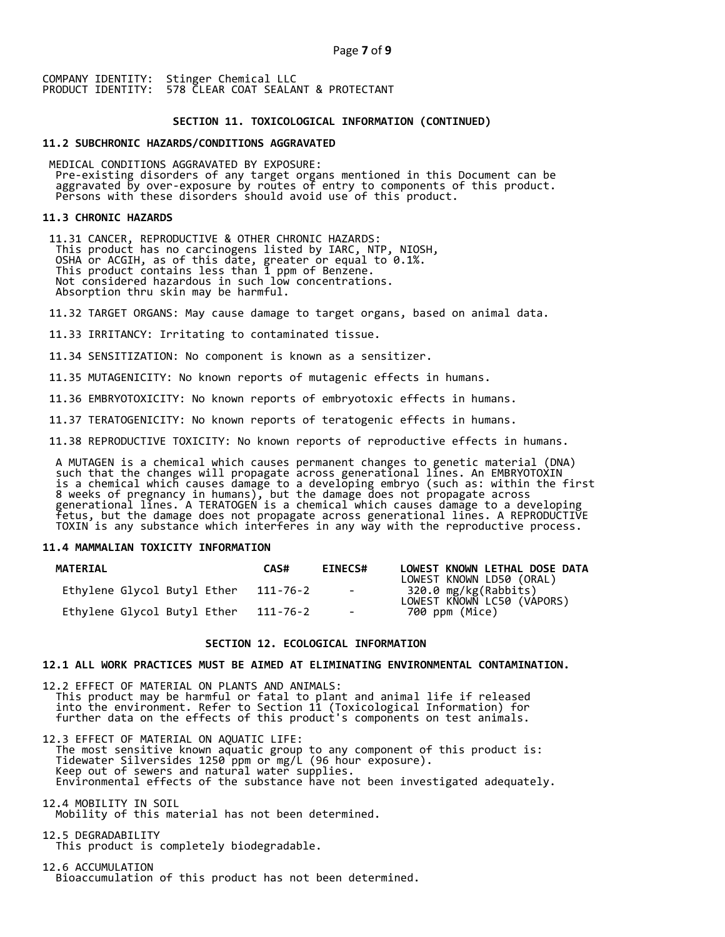### **SECTION 11. TOXICOLOGICAL INFORMATION (CONTINUED)**

### **11.2 SUBCHRONIC HAZARDS/CONDITIONS AGGRAVATED**

 MEDICAL CONDITIONS AGGRAVATED BY EXPOSURE: Pre-existing disorders of any target organs mentioned in this Document can be aggravated by over-exposure by routes of entry to components of this product. Persons with these disorders should avoid use of this product.

#### **11.3 CHRONIC HAZARDS**

 11.31 CANCER, REPRODUCTIVE & OTHER CHRONIC HAZARDS: This product has no carcinogens listed by IARC, NTP, NIOSH, OSHA or ACGIH, as of this date, greater or equal to 0.1%. This product contains less than 1 ppm of Benzene. Not considered hazardous in such low concentrations. Absorption thru skin may be harmful.

11.32 TARGET ORGANS: May cause damage to target organs, based on animal data.

11.33 IRRITANCY: Irritating to contaminated tissue.

11.34 SENSITIZATION: No component is known as a sensitizer.

11.35 MUTAGENICITY: No known reports of mutagenic effects in humans.

11.36 EMBRYOTOXICITY: No known reports of embryotoxic effects in humans.

11.37 TERATOGENICITY: No known reports of teratogenic effects in humans.

11.38 REPRODUCTIVE TOXICITY: No known reports of reproductive effects in humans.

 A MUTAGEN is a chemical which causes permanent changes to genetic material (DNA) such that the changes will propagate across generational lines. An EMBRYOTOXIN is a chemical which causes damage to a developing embryo (such as: within the first 8 weeks of pregnancy in humans), but the damage does not propagate across generational lines. A TERATOGEN is a chemical which causes damage to a developing fetus, but the damage does not propagate across generational lines. A REPRODUCTIVE TOXIN is any substance which interferes in any way with the reproductive process.

### **11.4 MAMMALIAN TOXICITY INFORMATION**

| <b>MATERIAL</b>             | CAS#     | <b>EINECS#</b> | LOWEST KNOWN LETHAL DOSE DATA<br>LOWEST KNOWN LD50 (ORAL) |
|-----------------------------|----------|----------------|-----------------------------------------------------------|
| Ethylene Glycol Butyl Ether | 111-76-2 | $\sim$ $-$     | 320.0 mg/kg(Rabbits)<br>LOWEST KNOWN LC50 (VAPORS)        |
| Ethylene Glycol Butyl Ether | 111-76-2 | $\sim$         | 700 ppm (Mice)                                            |

### **SECTION 12. ECOLOGICAL INFORMATION**

### **12.1 ALL WORK PRACTICES MUST BE AIMED AT ELIMINATING ENVIRONMENTAL CONTAMINATION.**

12.2 EFFECT OF MATERIAL ON PLANTS AND ANIMALS: This product may be harmful or fatal to plant and animal life if released into the environment. Refer to Section 11 (Toxicological Information) for further data on the effects of this product's components on test animals.

12.3 EFFECT OF MATERIAL ON AQUATIC LIFE: The most sensitive known aquatic group to any component of this product is: Tidewater Silversides 1250 ppm or mg/L (96 hour exposure). Keep out of sewers and natural water supplies. Environmental effects of the substance have not been investigated adequately.

12.4 MOBILITY IN SOIL Mobility of this material has not been determined.

12.5 DEGRADABILITY This product is completely biodegradable.

12.6 ACCUMULATION Bioaccumulation of this product has not been determined.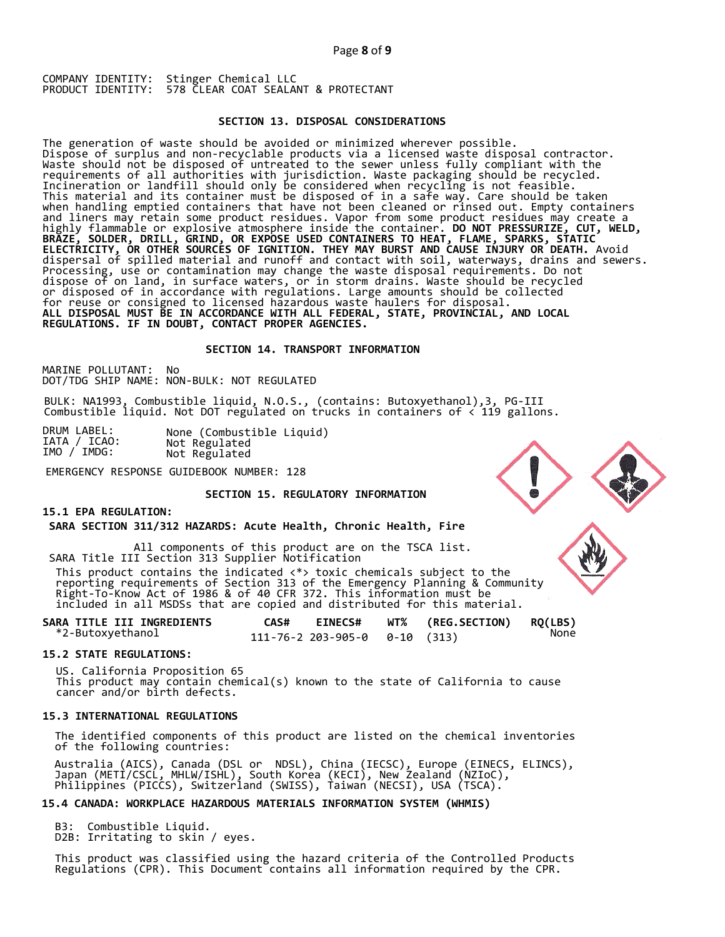### **SECTION 13. DISPOSAL CONSIDERATIONS**

The generation of waste should be avoided or minimized wherever possible. Dispose of surplus and non-recyclable products via a licensed waste disposal contractor. Waste should not be disposed of untreated to the sewer unless fully compliant with the requirements of all authorities with jurisdiction. Waste packaging should be recycled. Incineration or landfill should only be considered when recycling is not feasible. This material and its container must be disposed of in a safe way. Care should be taken when handling emptied containers that have not been cleaned or rinsed out. Empty containers and liners may retain some product residues. Vapor from some product residues may create a highly flammable or explosive atmosphere inside the container. **DO NOT PRESSURIZE, CUT, WELD, BRAZE, SOLDER, DRILL, GRIND, OR EXPOSE USED CONTAINERS TO HEAT, FLAME, SPARKS, STATIC ELECTRICITY, OR OTHER SOURCES OF IGNITION. THEY MAY BURST AND CAUSE INJURY OR DEATH.** Avoid dispersal of spilled material and runoff and contact with soil, waterways, drains and sewers. Processing, use or contamination may change the waste disposal requirements. Do not dispose of on land, in surface waters, or in storm drains. Waste should be recycled or disposed of in accordance with regulations. Large amounts should be collected for reuse or consigned to licensed hazardous waste haulers for disposal. **ALL DISPOSAL MUST BE IN ACCORDANCE WITH ALL FEDERAL, STATE, PROVINCIAL, AND LOCAL REGULATIONS. IF IN DOUBT, CONTACT PROPER AGENCIES.** 

### **SECTION 14. TRANSPORT INFORMATION**

MARINE POLLUTANT: No DOT/TDG SHIP NAME: NON-BULK: NOT REGULATED

BULK: NA1993, Combustible liquid, N.O.S., (contains: Butoxyethanol),3, PG-III Combustible liquid. Not DOT regulated on trucks in containers of < 119 gallons.

EMERGENCY RESPONSE GUIDEBOOK NUMBER: 128

## **SECTION 15. REGULATORY INFORMATION**

### **15.1 EPA REGULATION:**

 **SARA SECTION 311/312 HAZARDS: Acute Health, Chronic Health, Fire** 

All components of this product are on the TSCA list. SARA Title III Section 313 Supplier Notification This product contains the indicated  $\langle * \rangle$  toxic chemicals subject to the reporting requirements of Section 313 of the Emergency Planning & Community Right-To-Know Act of 1986 & of 40 CFR 372. This information must be included in all MSDSs that are copied and distributed for this material.

| <b>SARA TITLE III INGREDIENTS</b> | CAS# | <b>EINECS#</b>                         | WT% | (REG.SECTION) | <b>RQ(LBS)</b> |
|-----------------------------------|------|----------------------------------------|-----|---------------|----------------|
| *2-Butoxyethanol                  |      | $111 - 76 - 2203 - 905 - 00 - 10(313)$ |     |               | None           |

## **15.2 STATE REGULATIONS:**

US. California Proposition 65 This product may contain chemical(s) known to the state of California to cause cancer and/or birth defects.

### **15.3 INTERNATIONAL REGULATIONS**

 The identified components of this product are listed on the chemical inventories of the following countries:

 Australia (AICS), Canada (DSL or NDSL), China (IECSC), Europe (EINECS, ELINCS), Japan (METI/CSCL, MHLW/ISHL), South Korea (KECI), New Zealand (NZIoC), Philippines (PICCS), Switzerland (SWISS), Taiwan (NECSI), USA (TSCA).

## **15.4 CANADA: WORKPLACE HAZARDOUS MATERIALS INFORMATION SYSTEM (WHMIS)**

 B3: Combustible Liquid. D2B: Irritating to skin / eyes.

 This product was classified using the hazard criteria of the Controlled Products Regulations (CPR). This Document contains all information required by the CPR.